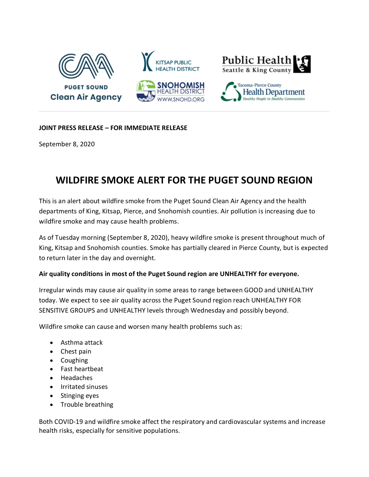

## **JOINT PRESS RELEASE – FOR IMMEDIATE RELEASE**

September 8, 2020

## **WILDFIRE SMOKE ALERT FOR THE PUGET SOUND REGION**

This is an alert about wildfire smoke from the Puget Sound Clean Air Agency and the health departments of King, Kitsap, Pierce, and Snohomish counties. Air pollution is increasing due to wildfire smoke and may cause health problems.

As of Tuesday morning (September 8, 2020), heavy wildfire smoke is present throughout much of King, Kitsap and Snohomish counties. Smoke has partially cleared in Pierce County, but is expected to return later in the day and overnight.

## **Air quality conditions in most of the Puget Sound region are UNHEALTHY for everyone.**

Irregular winds may cause air quality in some areas to range between GOOD and UNHEALTHY today. We expect to see air quality across the Puget Sound region reach UNHEALTHY FOR SENSITIVE GROUPS and UNHEALTHY levels through Wednesday and possibly beyond.

Wildfire smoke can cause and worsen many health problems such as:

- Asthma attack
- Chest pain
- Coughing
- Fast heartbeat
- Headaches
- Irritated sinuses
- Stinging eyes
- Trouble breathing

Both COVID-19 and wildfire smoke affect the respiratory and cardiovascular systems and increase health risks, especially for sensitive populations.